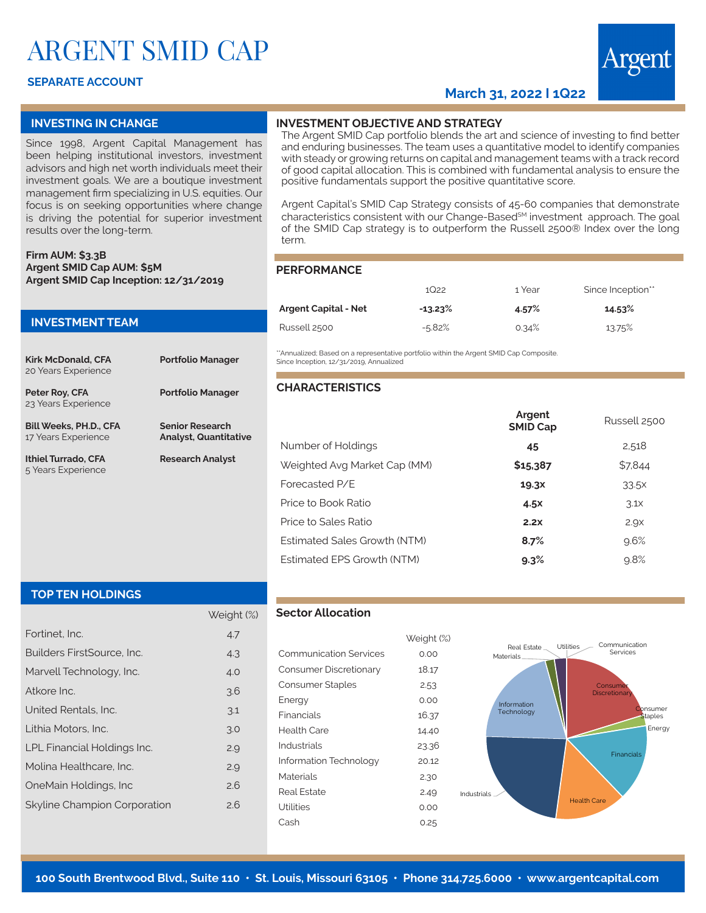# ARGENT SMID CAP

# **SEPARATE ACCOUNT**

# **March 31, 2022 I 1Q22**



Since 1998, Argent Capital Management has been helping institutional investors, investment advisors and high net worth individuals meet their investment goals. We are a boutique investment management firm specializing in U.S. equities. Our focus is on seeking opportunities where change is driving the potential for superior investment results over the long-term.

#### **Firm AUM: \$3.3B Argent SMID Cap AUM: \$5M Argent SMID Cap Inception: 12/31/2019**

# **INVESTMENT TEAM Kirk McDonald, CFA** 20 Years Experience **Portfolio Manager Peter Roy, CFA** 23 Years Experience **Portfolio Manager Bill Weeks, PH.D., CFA** 17 Years Experience **Senior Research Analyst, Quantitative Ithiel Turrado, CFA** 5 Years Experience **Research Analyst**

# **INVESTMENT OBJECTIVE AND STRATEGY**

The Argent SMID Cap portfolio blends the art and science of investing to find better and enduring businesses. The team uses a quantitative model to identify companies with steady or growing returns on capital and management teams with a track record of good capital allocation. This is combined with fundamental analysis to ensure the positive fundamentals support the positive quantitative score.

Argent Capital's SMID Cap Strategy consists of 45-60 companies that demonstrate characteristics consistent with our Change-Based<sup>SM</sup> investment approach. The goal of the SMID Cap strategy is to outperform the Russell 2500® Index over the long term.

#### **PERFORMANCE**

|                             | 1 Year<br>1Q22 |       | Since Inception** |
|-----------------------------|----------------|-------|-------------------|
| <b>Argent Capital - Net</b> | $-13.23\%$     | 4.57% | 14.53%            |
| Russell 2500                | $-5.82%$       | 0.34% | 13.75%            |

\*Annualized: Based on a representative portfolio within the Argent SMID Cap Composite. Since Inception, 12/31/2019, Annualized

## **CHARACTERISTICS**

|                              | Argent<br><b>SMID Cap</b> | Russell 2500     |  |
|------------------------------|---------------------------|------------------|--|
| Number of Holdings           | 45                        | 2,518            |  |
| Weighted Avg Market Cap (MM) | \$15,387                  | \$7,844          |  |
| Forecasted P/E               | 19.3X                     | 33.5x            |  |
| Price to Book Ratio          | 4.5x                      | 3.1 <sub>X</sub> |  |
| Price to Sales Ratio         | 2.2x                      | 2.9x             |  |
| Estimated Sales Growth (NTM) | 8.7%                      | 9.6%             |  |
| Estimated EPS Growth (NTM)   | $9.3\%$                   | 9.8%             |  |
|                              |                           |                  |  |

## **TOP TEN HOLDINGS**

|                              | Weight (%) |
|------------------------------|------------|
| Fortinet. Inc.               | 4.7        |
| Builders FirstSource, Inc.   | 4.3        |
| Marvell Technology, Inc.     | 4.0        |
| Atkore Inc.                  | 3.6        |
| United Rentals, Inc.         | 3.1        |
| Lithia Motors, Inc.          | 3.0        |
| LPL Financial Holdings Inc.  | 2.9        |
| Molina Healthcare, Inc.      | 2.9        |
| OneMain Holdings, Inc.       | 2.6        |
| Skyline Champion Corporation | 2.6        |
|                              |            |

#### **Sector Allocation**

|                               | Weight |
|-------------------------------|--------|
| <b>Communication Services</b> | 0.00   |
| Consumer Discretionary        | 18.17  |
| Consumer Staples              | 2.53   |
| Energy                        | 0.00   |
| Financials                    | 16.37  |
| Health Care                   | 14.40  |
| Industrials                   | 23.36  |
| Information Technology        | 20.12  |
| Materials                     | 2.30   |
| Real Estate                   | 2.49   |
| Utilities                     | 0.00   |
| Cash                          | 0.25   |